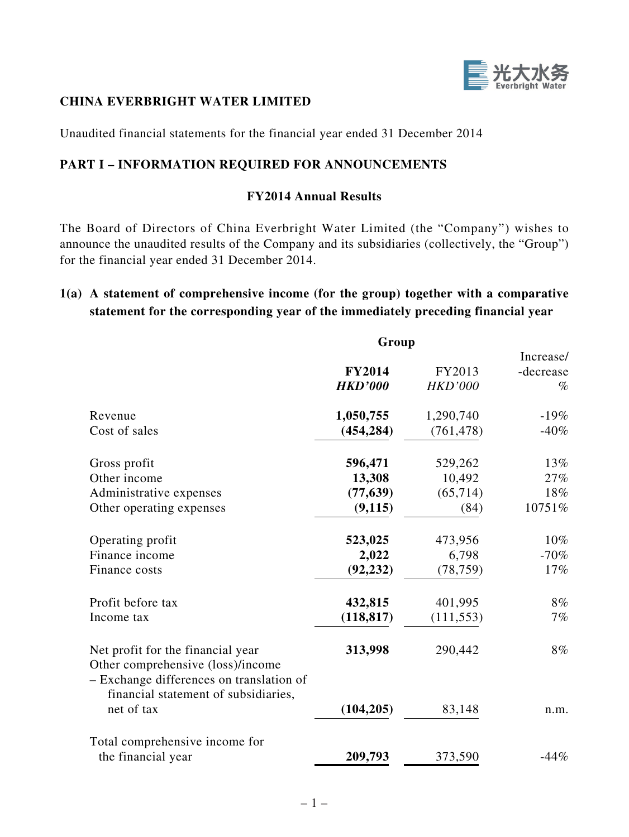

### **CHINA EVERBRIGHT WATER LIMITED**

Unaudited financial statements for the financial year ended 31 December 2014

## **PART I – INFORMATION REQUIRED FOR ANNOUNCEMENTS**

### **FY2014 Annual Results**

The Board of Directors of China Everbright Water Limited (the "Company") wishes to announce the unaudited results of the Company and its subsidiaries (collectively, the "Group") for the financial year ended 31 December 2014.

## **1(a) A statement of comprehensive income (for the group) together with a comparative statement for the corresponding year of the immediately preceding financial year**

|                                                                                                                    | Group          |                |           |  |
|--------------------------------------------------------------------------------------------------------------------|----------------|----------------|-----------|--|
|                                                                                                                    |                |                | Increase/ |  |
|                                                                                                                    | <b>FY2014</b>  | FY2013         | -decrease |  |
|                                                                                                                    | <b>HKD'000</b> | <b>HKD'000</b> | $\%$      |  |
| Revenue                                                                                                            | 1,050,755      | 1,290,740      | $-19%$    |  |
| Cost of sales                                                                                                      | (454, 284)     | (761, 478)     | $-40%$    |  |
| Gross profit                                                                                                       | 596,471        | 529,262        | 13%       |  |
| Other income                                                                                                       | 13,308         | 10,492         | 27%       |  |
| Administrative expenses                                                                                            | (77, 639)      | (65, 714)      | 18%       |  |
| Other operating expenses                                                                                           | (9, 115)       | (84)           | 10751%    |  |
| Operating profit                                                                                                   | 523,025        | 473,956        | $10\%$    |  |
| Finance income                                                                                                     | 2,022          | 6,798          | $-70%$    |  |
| Finance costs                                                                                                      | (92, 232)      | (78, 759)      | 17%       |  |
| Profit before tax                                                                                                  | 432,815        | 401,995        | 8%        |  |
| Income tax                                                                                                         | (118, 817)     | (111, 553)     | 7%        |  |
| Net profit for the financial year<br>Other comprehensive (loss)/income<br>- Exchange differences on translation of | 313,998        | 290,442        | 8%        |  |
| financial statement of subsidiaries,<br>net of tax                                                                 | (104, 205)     | 83,148         | n.m.      |  |
| Total comprehensive income for                                                                                     |                |                |           |  |
| the financial year                                                                                                 | 209,793        | 373,590        | $-44%$    |  |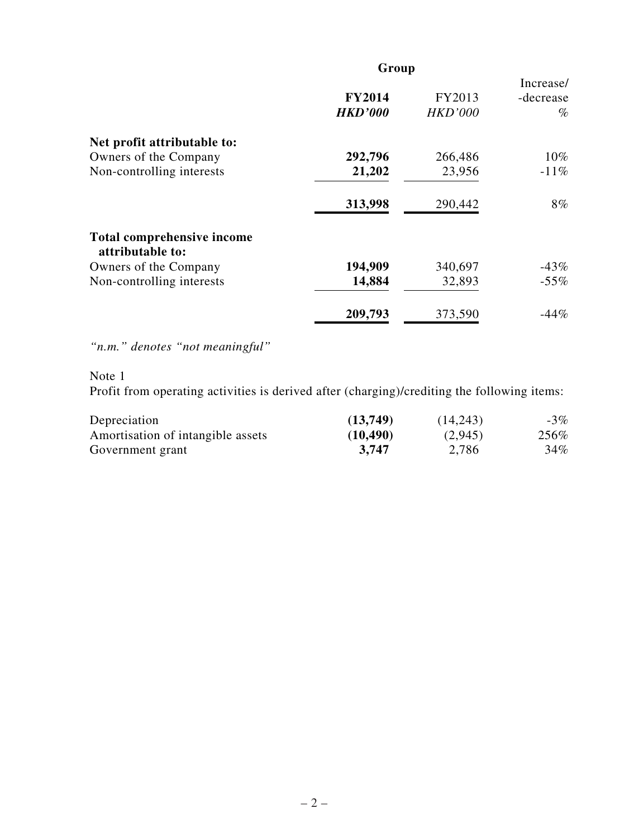| Group                           |                          |                                |  |
|---------------------------------|--------------------------|--------------------------------|--|
| <b>FY2014</b><br><b>HKD'000</b> | FY2013<br><b>HKD'000</b> | Increase/<br>-decrease<br>$\%$ |  |
|                                 |                          |                                |  |
| 292,796                         | 266,486                  | $10\%$                         |  |
| 21,202                          | 23,956                   | $-11\%$                        |  |
| 313,998                         | 290,442                  | $8\%$                          |  |
|                                 |                          |                                |  |
| 194,909                         | 340,697                  | $-43%$                         |  |
| 14,884                          | 32,893                   | $-55%$                         |  |
| 209,793                         | 373,590                  | $-44%$                         |  |
|                                 |                          |                                |  |

*"n.m." denotes "not meaningful"*

Note 1

Profit from operating activities is derived after (charging)/crediting the following items:

| Depreciation                      | (13,749)  | (14,243) | $-3%$ |
|-----------------------------------|-----------|----------|-------|
| Amortisation of intangible assets | (10, 490) | (2,945)  | 256%  |
| Government grant                  | 3.747     | 2,786    | 34%   |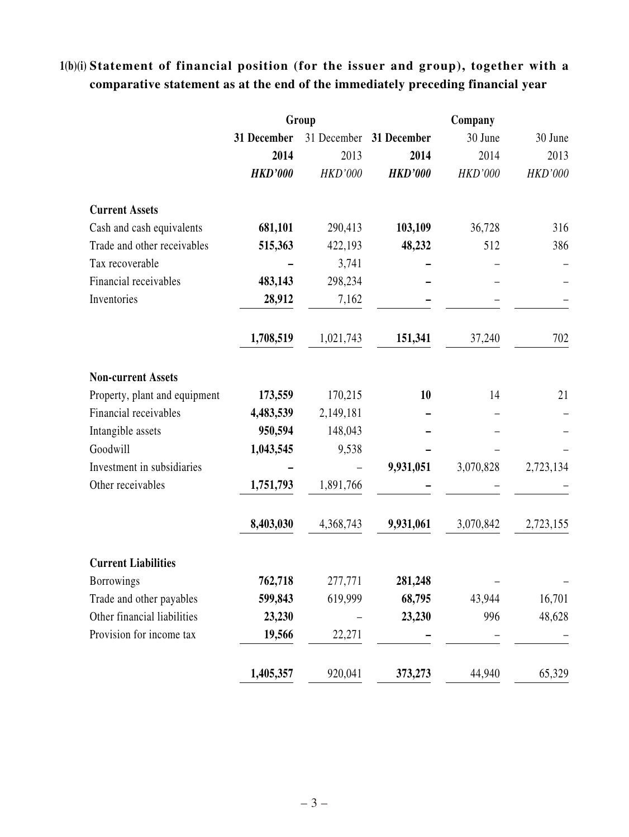# **1(b)(i) Statement of financial position (for the issuer and group), together with a comparative statement as at the end of the immediately preceding financial year**

|                               |                | Group          |                | Company        |                |
|-------------------------------|----------------|----------------|----------------|----------------|----------------|
|                               | 31 December    | 31 December    | 31 December    | 30 June        | 30 June        |
|                               | 2014           | 2013           | 2014           | 2014           | 2013           |
|                               | <b>HKD'000</b> | <b>HKD'000</b> | <b>HKD'000</b> | <b>HKD'000</b> | <b>HKD'000</b> |
| <b>Current Assets</b>         |                |                |                |                |                |
| Cash and cash equivalents     | 681,101        | 290,413        | 103,109        | 36,728         | 316            |
| Trade and other receivables   | 515,363        | 422,193        | 48,232         | 512            | 386            |
| Tax recoverable               |                | 3,741          |                |                |                |
| Financial receivables         | 483,143        | 298,234        |                |                |                |
| Inventories                   | 28,912         | 7,162          |                |                |                |
|                               | 1,708,519      | 1,021,743      | 151,341        | 37,240         | 702            |
| <b>Non-current Assets</b>     |                |                |                |                |                |
| Property, plant and equipment | 173,559        | 170,215        | 10             | 14             | 21             |
| Financial receivables         | 4,483,539      | 2,149,181      |                |                |                |
| Intangible assets             | 950,594        | 148,043        |                |                |                |
| Goodwill                      | 1,043,545      | 9,538          |                |                |                |
| Investment in subsidiaries    |                |                | 9,931,051      | 3,070,828      | 2,723,134      |
| Other receivables             | 1,751,793      | 1,891,766      |                |                |                |
|                               | 8,403,030      | 4,368,743      | 9,931,061      | 3,070,842      | 2,723,155      |
| <b>Current Liabilities</b>    |                |                |                |                |                |
| <b>Borrowings</b>             | 762,718        | 277,771        | 281,248        |                |                |
| Trade and other payables      | 599,843        | 619,999        | 68,795         | 43,944         | 16,701         |
| Other financial liabilities   | 23,230         |                | 23,230         | 996            | 48,628         |
| Provision for income tax      | 19,566         | 22,271         |                |                |                |
|                               | 1,405,357      | 920,041        | 373,273        | 44,940         | 65,329         |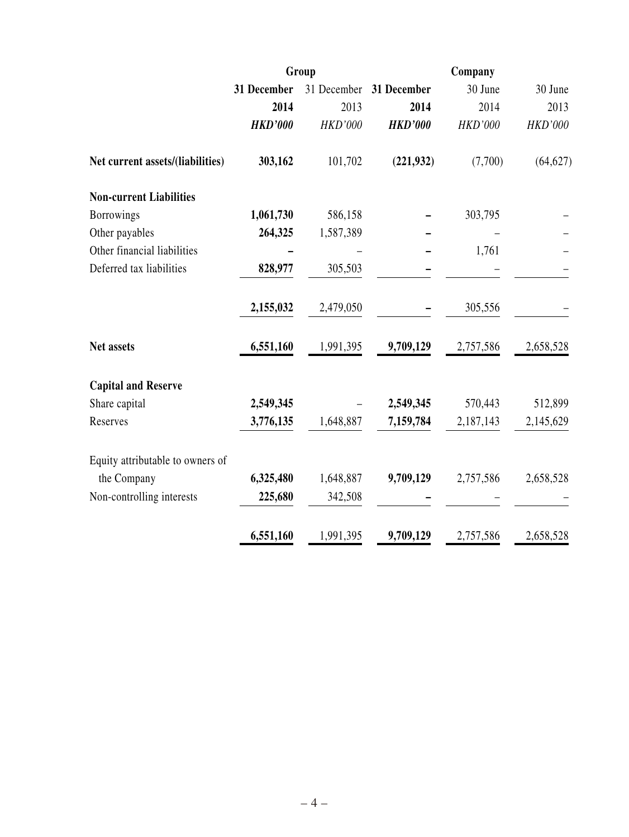|                                  | Group          |                | Company        |                |                |  |
|----------------------------------|----------------|----------------|----------------|----------------|----------------|--|
|                                  | 31 December    | 31 December    | 31 December    | 30 June        | 30 June        |  |
|                                  | 2014           | 2013           | 2014           | 2014           | 2013           |  |
|                                  | <b>HKD'000</b> | <b>HKD'000</b> | <b>HKD'000</b> | <b>HKD'000</b> | <b>HKD'000</b> |  |
| Net current assets/(liabilities) | 303,162        | 101,702        | (221, 932)     | (7,700)        | (64, 627)      |  |
| <b>Non-current Liabilities</b>   |                |                |                |                |                |  |
| <b>Borrowings</b>                | 1,061,730      | 586,158        |                | 303,795        |                |  |
| Other payables                   | 264,325        | 1,587,389      |                |                |                |  |
| Other financial liabilities      |                |                |                | 1,761          |                |  |
| Deferred tax liabilities         | 828,977        | 305,503        |                |                |                |  |
|                                  | 2,155,032      | 2,479,050      |                | 305,556        |                |  |
| Net assets                       | 6,551,160      | 1,991,395      | 9,709,129      | 2,757,586      | 2,658,528      |  |
| <b>Capital and Reserve</b>       |                |                |                |                |                |  |
| Share capital                    | 2,549,345      |                | 2,549,345      | 570,443        | 512,899        |  |
| Reserves                         | 3,776,135      | 1,648,887      | 7,159,784      | 2,187,143      | 2,145,629      |  |
| Equity attributable to owners of |                |                |                |                |                |  |
| the Company                      | 6,325,480      | 1,648,887      | 9,709,129      | 2,757,586      | 2,658,528      |  |
| Non-controlling interests        | 225,680        | 342,508        |                |                |                |  |
|                                  | 6,551,160      | 1,991,395      | 9,709,129      | 2,757,586      | 2,658,528      |  |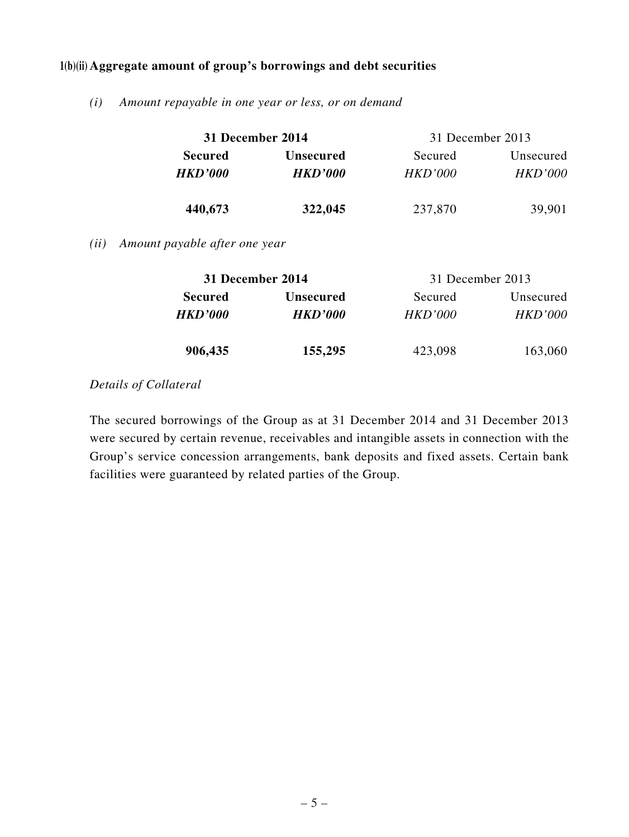## **1(b)(ii) Aggregate amount of group's borrowings and debt securities**

*(i) Amount repayable in one year or less, or on demand*

| 31 December 2014                 |                  | 31 December 2013 |                |  |  |
|----------------------------------|------------------|------------------|----------------|--|--|
| <b>Secured</b>                   | <b>Unsecured</b> | Secured          | Unsecured      |  |  |
| <b>HKD'000</b><br><b>HKD'000</b> |                  | HKD'000          | <i>HKD'000</i> |  |  |
| 440,673                          | 322,045          | 237,870          | 39,901         |  |  |

*(ii) Amount payable after one year*

| 31 December 2014 |                             | 31 December 2013 |                |  |  |
|------------------|-----------------------------|------------------|----------------|--|--|
| <b>Secured</b>   | <b>Unsecured</b><br>Secured |                  | Unsecured      |  |  |
| <b>HKD'000</b>   | <b>HKD'000</b>              | <i>HKD'000</i>   | <b>HKD'000</b> |  |  |
|                  |                             |                  |                |  |  |
| 906,435          | 155,295                     | 423,098          | 163,060        |  |  |

#### *Details of Collateral*

The secured borrowings of the Group as at 31 December 2014 and 31 December 2013 were secured by certain revenue, receivables and intangible assets in connection with the Group's service concession arrangements, bank deposits and fixed assets. Certain bank facilities were guaranteed by related parties of the Group.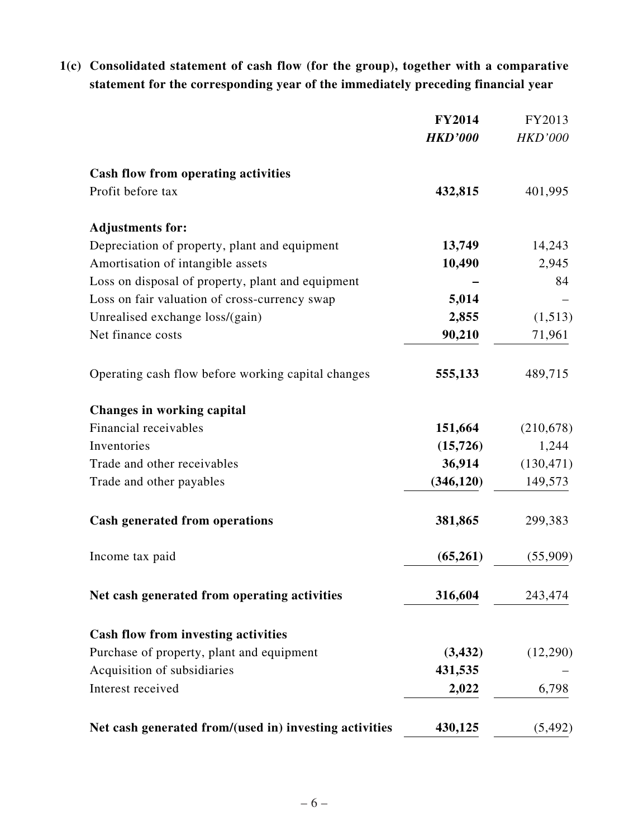# **1(c) Consolidated statement of cash flow (for the group), together with a comparative statement for the corresponding year of the immediately preceding financial year**

|                                                        | <b>FY2014</b>  | FY2013         |
|--------------------------------------------------------|----------------|----------------|
|                                                        | <b>HKD'000</b> | <b>HKD'000</b> |
| <b>Cash flow from operating activities</b>             |                |                |
| Profit before tax                                      | 432,815        | 401,995        |
| <b>Adjustments for:</b>                                |                |                |
| Depreciation of property, plant and equipment          | 13,749         | 14,243         |
| Amortisation of intangible assets                      | 10,490         | 2,945          |
| Loss on disposal of property, plant and equipment      |                | 84             |
| Loss on fair valuation of cross-currency swap          | 5,014          |                |
| Unrealised exchange loss/(gain)                        | 2,855          | (1,513)        |
| Net finance costs                                      | 90,210         | 71,961         |
| Operating cash flow before working capital changes     | 555,133        | 489,715        |
| <b>Changes in working capital</b>                      |                |                |
| Financial receivables                                  | 151,664        | (210, 678)     |
| Inventories                                            | (15, 726)      | 1,244          |
| Trade and other receivables                            | 36,914         | (130, 471)     |
| Trade and other payables                               | (346, 120)     | 149,573        |
| <b>Cash generated from operations</b>                  | 381,865        | 299,383        |
| Income tax paid                                        | (65,261)       | (55,909)       |
| Net cash generated from operating activities           | 316,604        | 243,474        |
| Cash flow from investing activities                    |                |                |
| Purchase of property, plant and equipment              | (3, 432)       | (12,290)       |
| Acquisition of subsidiaries                            | 431,535        |                |
| Interest received                                      | 2,022          | 6,798          |
| Net cash generated from/(used in) investing activities | 430,125        | (5, 492)       |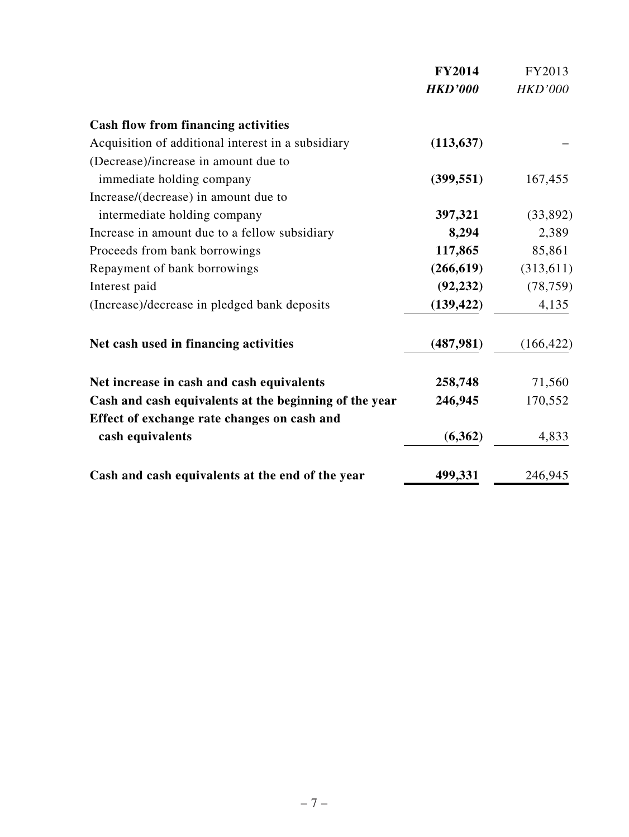|                                                        | <b>FY2014</b>  | FY2013         |
|--------------------------------------------------------|----------------|----------------|
|                                                        | <b>HKD'000</b> | <b>HKD'000</b> |
| <b>Cash flow from financing activities</b>             |                |                |
| Acquisition of additional interest in a subsidiary     | (113, 637)     |                |
| (Decrease)/increase in amount due to                   |                |                |
| immediate holding company                              | (399, 551)     | 167,455        |
| Increase/(decrease) in amount due to                   |                |                |
| intermediate holding company                           | 397,321        | (33,892)       |
| Increase in amount due to a fellow subsidiary          | 8,294          | 2,389          |
| Proceeds from bank borrowings                          | 117,865        | 85,861         |
| Repayment of bank borrowings                           | (266, 619)     | (313, 611)     |
| Interest paid                                          | (92, 232)      | (78, 759)      |
| (Increase)/decrease in pledged bank deposits           | (139, 422)     | 4,135          |
| Net cash used in financing activities                  | (487,981)      | (166, 422)     |
| Net increase in cash and cash equivalents              | 258,748        | 71,560         |
| Cash and cash equivalents at the beginning of the year | 246,945        | 170,552        |
| Effect of exchange rate changes on cash and            |                |                |
| cash equivalents                                       | (6,362)        | 4,833          |
| Cash and cash equivalents at the end of the year       | 499,331        | 246,945        |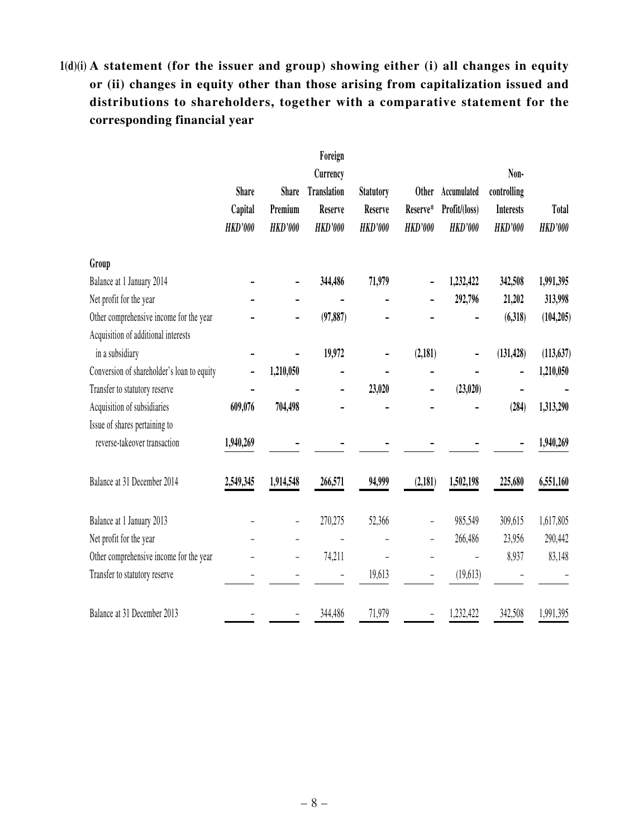# **1(d)(i) A statement (for the issuer and group) showing either (i) all changes in equity or (ii) changes in equity other than those arising from capitalization issued and distributions to shareholders, together with a comparative statement for the corresponding financial year**

|                                            |                |                | Foreign            |                  |                |                |                  |                |
|--------------------------------------------|----------------|----------------|--------------------|------------------|----------------|----------------|------------------|----------------|
|                                            |                |                | Currency           |                  |                |                |                  |                |
|                                            | <b>Share</b>   | <b>Share</b>   | <b>Translation</b> | <b>Statutory</b> | <b>Other</b>   | Accumulated    | controlling      |                |
|                                            | Capital        | Premium        | Reserve            | <b>Reserve</b>   | Reserve*       | Profit/(loss)  | <b>Interests</b> | <b>Total</b>   |
|                                            | <b>HKD'000</b> | <b>HKD'000</b> | <b>HKD'000</b>     | <b>HKD'000</b>   | <b>HKD'000</b> | <b>HKD'000</b> | <b>HKD'000</b>   | <b>HKD'000</b> |
| Group                                      |                |                |                    |                  |                |                |                  |                |
| Balance at 1 January 2014                  |                |                | 344,486            | 71,979           |                | 1,232,422      | 342,508          | 1,991,395      |
| Net profit for the year                    |                |                |                    |                  |                | 292,796        | 21,202           | 313,998        |
| Other comprehensive income for the year    |                |                | (97, 887)          |                  |                |                | (6,318)          | (104, 205)     |
| Acquisition of additional interests        |                |                |                    |                  |                |                |                  |                |
| in a subsidiary                            |                |                | 19,972             |                  | (2, 181)       |                | (131, 428)       | (113, 637)     |
| Conversion of shareholder's loan to equity |                | 1,210,050      |                    |                  |                |                |                  | 1,210,050      |
| Transfer to statutory reserve              |                |                |                    | 23,020           |                | (23,020)       |                  |                |
| Acquisition of subsidiaries                | 609,076        | 704,498        |                    |                  |                |                | (284)            | 1,313,290      |
| Issue of shares pertaining to              |                |                |                    |                  |                |                |                  |                |
| reverse-takeover transaction               | 1,940,269      |                |                    |                  |                |                |                  | 1,940,269      |
| Balance at 31 December 2014                | 2,549,345      | 1,914,548      | 266,571            | 94,999           | (2, 181)       | 1,502,198      | 225,680          | 6,551,160      |
| Balance at 1 January 2013                  |                |                | 270,275            | 52,366           |                | 985,549        | 309,615          | 1,617,805      |
| Net profit for the year                    |                |                |                    |                  |                | 266,486        | 23,956           | 290,442        |
| Other comprehensive income for the year    |                |                | 74,211             |                  |                |                | 8,937            | 83,148         |
| Transfer to statutory reserve              |                |                |                    | 19,613           |                | (19,613)       |                  |                |
| Balance at 31 December 2013                |                |                | 344,486            | 71,979           |                | 1,232,422      | 342,508          | 1,991,395      |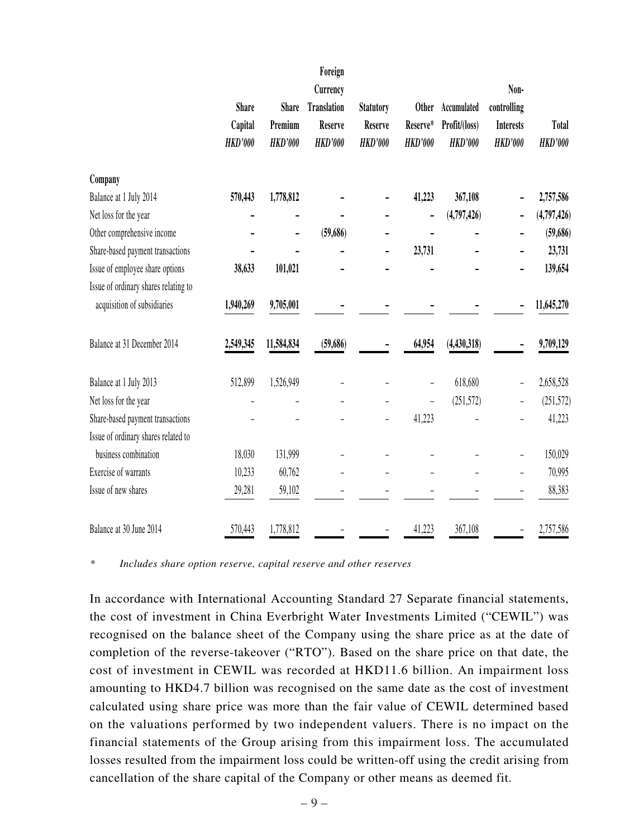|                                      |                |                | Foreign            |                  |                          |                |                  |                |
|--------------------------------------|----------------|----------------|--------------------|------------------|--------------------------|----------------|------------------|----------------|
|                                      |                |                | Currency           |                  |                          |                | Non-             |                |
|                                      | <b>Share</b>   | <b>Share</b>   | <b>Translation</b> | <b>Statutory</b> | <b>Other</b>             | Accumulated    | controlling      |                |
|                                      | Capital        | Premium        | <b>Reserve</b>     | <b>Reserve</b>   | Reserve*                 | Profit/(loss)  | <b>Interests</b> | <b>Total</b>   |
|                                      | <b>HKD'000</b> | <b>HKD'000</b> | <b>HKD'000</b>     | <b>HKD'000</b>   | <b>HKD'000</b>           | <b>HKD'000</b> | <b>HKD'000</b>   | <b>HKD'000</b> |
| Company                              |                |                |                    |                  |                          |                |                  |                |
| Balance at 1 July 2014               | 570,443        | 1,778,812      |                    |                  | 41,223                   | 367,108        |                  | 2,757,586      |
| Net loss for the year                |                |                |                    |                  | $\overline{\phantom{a}}$ | (4,797,426)    |                  | (4,797,426)    |
| Other comprehensive income           |                | -              | (59,686)           |                  |                          |                |                  | (59,686)       |
| Share-based payment transactions     |                |                |                    |                  | 23,731                   |                |                  | 23,731         |
| Issue of employee share options      | 38,633         | 101,021        |                    |                  |                          |                |                  | 139,654        |
| Issue of ordinary shares relating to |                |                |                    |                  |                          |                |                  |                |
| acquisition of subsidiaries          | 1,940,269      | 9,705,001      |                    |                  |                          |                |                  | 11,645,270     |
| Balance at 31 December 2014          | 2,549,345      | 11,584,834     | (59,686)           |                  | 64,954                   | (4,430,318)    |                  | 9,709,129      |
| Balance at 1 July 2013               | 512,899        | 1,526,949      |                    |                  |                          | 618,680        |                  | 2,658,528      |
| Net loss for the year                |                |                |                    |                  |                          | (251, 572)     |                  | (251, 572)     |
| Share-based payment transactions     |                |                |                    |                  | 41,223                   |                |                  | 41,223         |
| Issue of ordinary shares related to  |                |                |                    |                  |                          |                |                  |                |
| business combination                 | 18,030         | 131,999        |                    |                  |                          |                |                  | 150,029        |
| Exercise of warrants                 | 10,233         | 60,762         |                    |                  |                          |                |                  | 70,995         |
| Issue of new shares                  | 29,281         | 59,102         |                    |                  |                          |                |                  | 88,383         |
| Balance at 30 June 2014              | 570,443        | 1,778,812      |                    |                  | 41,223                   | 367,108        |                  | 2,757,586      |

*\* Includes share option reserve, capital reserve and other reserves*

In accordance with International Accounting Standard 27 Separate financial statements, the cost of investment in China Everbright Water Investments Limited ("CEWIL") was recognised on the balance sheet of the Company using the share price as at the date of completion of the reverse-takeover ("RTO"). Based on the share price on that date, the cost of investment in CEWIL was recorded at HKD11.6 billion. An impairment loss amounting to HKD4.7 billion was recognised on the same date as the cost of investment calculated using share price was more than the fair value of CEWIL determined based on the valuations performed by two independent valuers. There is no impact on the financial statements of the Group arising from this impairment loss. The accumulated losses resulted from the impairment loss could be written-off using the credit arising from cancellation of the share capital of the Company or other means as deemed fit.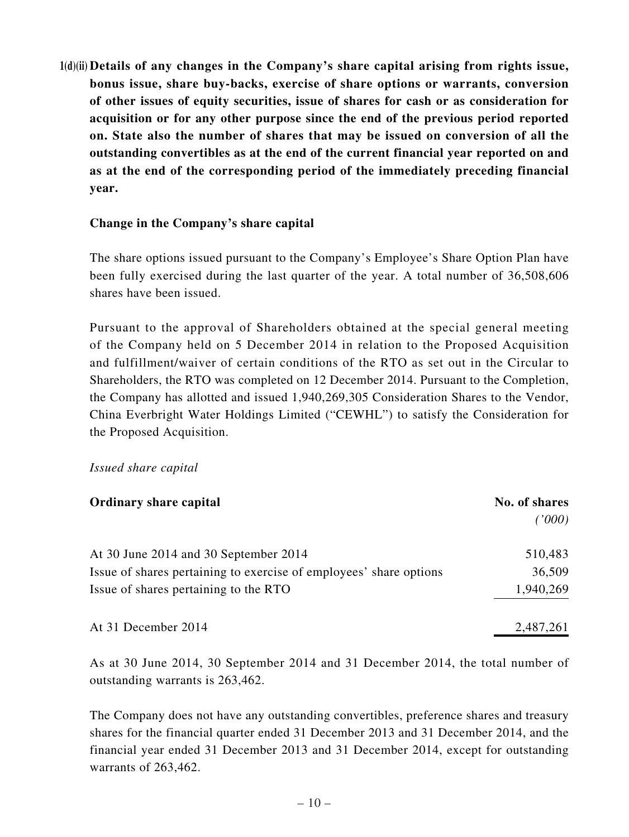**1(d)(ii) Details of any changes in the Company's share capital arising from rights issue, bonus issue, share buy-backs, exercise of share options or warrants, conversion of other issues of equity securities, issue of shares for cash or as consideration for acquisition or for any other purpose since the end of the previous period reported on. State also the number of shares that may be issued on conversion of all the outstanding convertibles as at the end of the current financial year reported on and as at the end of the corresponding period of the immediately preceding financial year.**

## **Change in the Company's share capital**

The share options issued pursuant to the Company's Employee's Share Option Plan have been fully exercised during the last quarter of the year. A total number of 36,508,606 shares have been issued.

Pursuant to the approval of Shareholders obtained at the special general meeting of the Company held on 5 December 2014 in relation to the Proposed Acquisition and fulfillment/waiver of certain conditions of the RTO as set out in the Circular to Shareholders, the RTO was completed on 12 December 2014. Pursuant to the Completion, the Company has allotted and issued 1,940,269,305 Consideration Shares to the Vendor, China Everbright Water Holdings Limited ("CEWHL") to satisfy the Consideration for the Proposed Acquisition.

#### *Issued share capital*

| <b>Ordinary share capital</b>                                      | No. of shares |
|--------------------------------------------------------------------|---------------|
|                                                                    | ('000)        |
| At 30 June 2014 and 30 September 2014                              | 510,483       |
| Issue of shares pertaining to exercise of employees' share options | 36,509        |
| Issue of shares pertaining to the RTO                              | 1,940,269     |
| At 31 December 2014                                                | 2,487,261     |

As at 30 June 2014, 30 September 2014 and 31 December 2014, the total number of outstanding warrants is 263,462.

The Company does not have any outstanding convertibles, preference shares and treasury shares for the financial quarter ended 31 December 2013 and 31 December 2014, and the financial year ended 31 December 2013 and 31 December 2014, except for outstanding warrants of 263,462.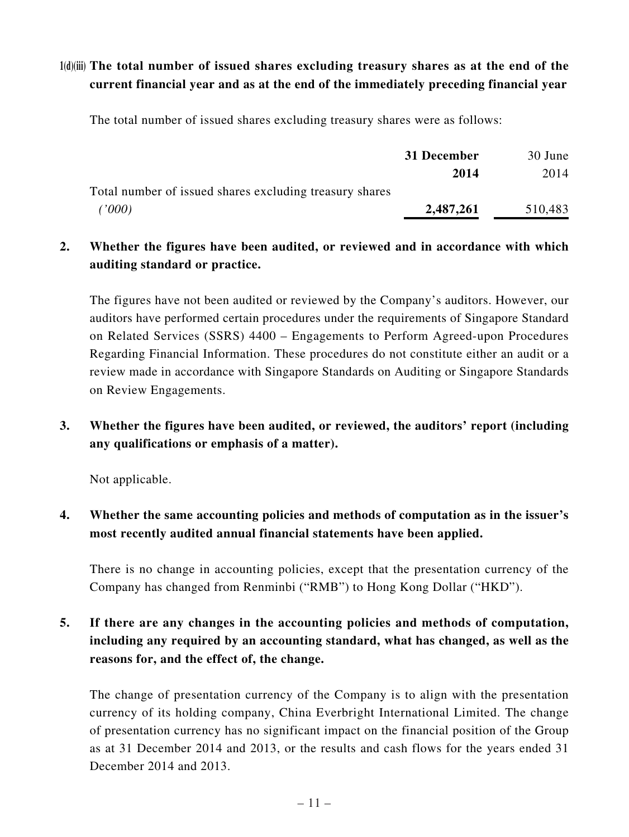# **1(d)(iii) The total number of issued shares excluding treasury shares as at the end of the current financial year and as at the end of the immediately preceding financial year**

The total number of issued shares excluding treasury shares were as follows:

|                                                         | 31 December | 30 June |
|---------------------------------------------------------|-------------|---------|
|                                                         | 2014        | 2014    |
| Total number of issued shares excluding treasury shares |             |         |
| (1000)                                                  | 2,487,261   | 510,483 |

# **2. Whether the figures have been audited, or reviewed and in accordance with which auditing standard or practice.**

The figures have not been audited or reviewed by the Company's auditors. However, our auditors have performed certain procedures under the requirements of Singapore Standard on Related Services (SSRS) 4400 – Engagements to Perform Agreed-upon Procedures Regarding Financial Information. These procedures do not constitute either an audit or a review made in accordance with Singapore Standards on Auditing or Singapore Standards on Review Engagements.

# **3. Whether the figures have been audited, or reviewed, the auditors' report (including any qualifications or emphasis of a matter).**

Not applicable.

# **4. Whether the same accounting policies and methods of computation as in the issuer's most recently audited annual financial statements have been applied.**

There is no change in accounting policies, except that the presentation currency of the Company has changed from Renminbi ("RMB") to Hong Kong Dollar ("HKD").

# **5. If there are any changes in the accounting policies and methods of computation, including any required by an accounting standard, what has changed, as well as the reasons for, and the effect of, the change.**

The change of presentation currency of the Company is to align with the presentation currency of its holding company, China Everbright International Limited. The change of presentation currency has no significant impact on the financial position of the Group as at 31 December 2014 and 2013, or the results and cash flows for the years ended 31 December 2014 and 2013.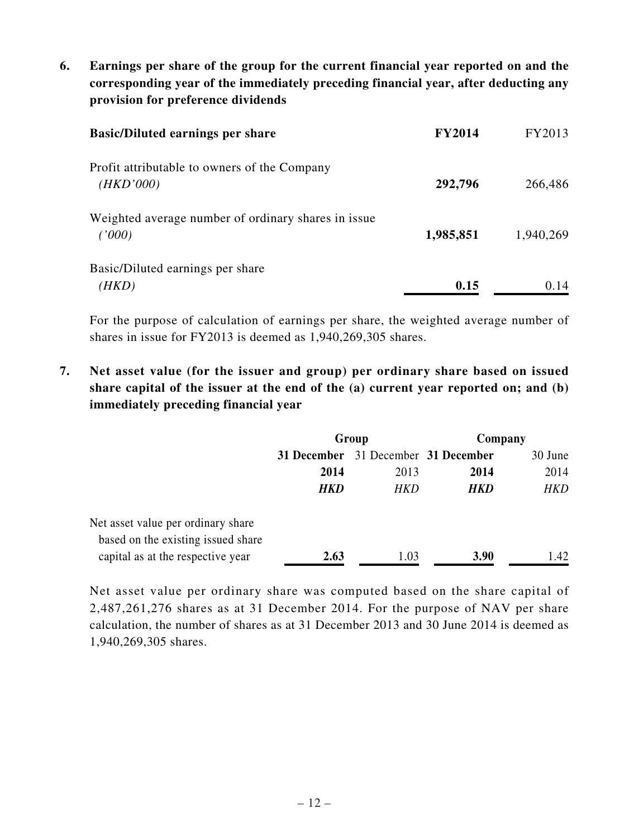**6. Earnings per share of the group for the current financial year reported on and the corresponding year of the immediately preceding financial year, after deducting any provision for preference dividends**

| <b>Basic/Diluted earnings per share</b>                       | <b>FY2014</b> | FY2013    |
|---------------------------------------------------------------|---------------|-----------|
| Profit attributable to owners of the Company<br>(HKD'000)     | 292,796       | 266,486   |
| Weighted average number of ordinary shares in issue<br>(1000) | 1,985,851     | 1,940,269 |
| Basic/Diluted earnings per share<br>(HKD)                     | 0.15          | 0.14      |

For the purpose of calculation of earnings per share, the weighted average number of shares in issue for FY2013 is deemed as 1,940,269,305 shares.

**7. Net asset value (for the issuer and group) per ordinary share based on issued share capital of the issuer at the end of the (a) current year reported on; and (b) immediately preceding financial year**

|                                                                          | Group       |                         | Company |            |
|--------------------------------------------------------------------------|-------------|-------------------------|---------|------------|
|                                                                          | 31 December | 31 December 31 December |         | 30 June    |
|                                                                          | 2014        | 2013                    | 2014    | 2014       |
|                                                                          | <b>HKD</b>  | HKD                     | HKD     | <b>HKD</b> |
| Net asset value per ordinary share<br>based on the existing issued share |             |                         |         |            |
| capital as at the respective year                                        | 2.63        | 1.03                    | 3.90    | 1.42       |

Net asset value per ordinary share was computed based on the share capital of 2,487,261,276 shares as at 31 December 2014. For the purpose of NAV per share calculation, the number of shares as at 31 December 2013 and 30 June 2014 is deemed as 1,940,269,305 shares.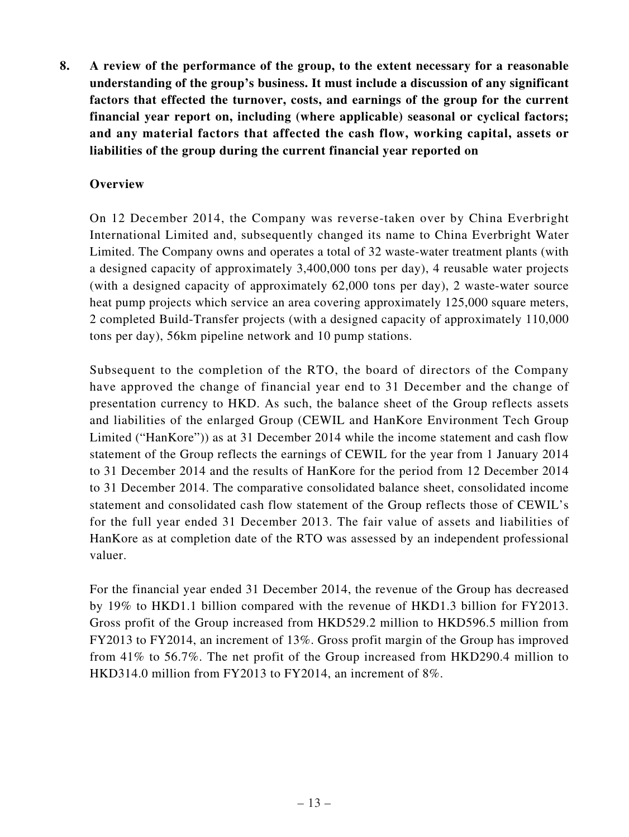**8. A review of the performance of the group, to the extent necessary for a reasonable understanding of the group's business. It must include a discussion of any significant factors that effected the turnover, costs, and earnings of the group for the current financial year report on, including (where applicable) seasonal or cyclical factors; and any material factors that affected the cash flow, working capital, assets or liabilities of the group during the current financial year reported on**

## **Overview**

On 12 December 2014, the Company was reverse-taken over by China Everbright International Limited and, subsequently changed its name to China Everbright Water Limited. The Company owns and operates a total of 32 waste-water treatment plants (with a designed capacity of approximately 3,400,000 tons per day), 4 reusable water projects (with a designed capacity of approximately 62,000 tons per day), 2 waste-water source heat pump projects which service an area covering approximately 125,000 square meters, 2 completed Build-Transfer projects (with a designed capacity of approximately 110,000 tons per day), 56km pipeline network and 10 pump stations.

Subsequent to the completion of the RTO, the board of directors of the Company have approved the change of financial year end to 31 December and the change of presentation currency to HKD. As such, the balance sheet of the Group reflects assets and liabilities of the enlarged Group (CEWIL and HanKore Environment Tech Group Limited ("HanKore")) as at 31 December 2014 while the income statement and cash flow statement of the Group reflects the earnings of CEWIL for the year from 1 January 2014 to 31 December 2014 and the results of HanKore for the period from 12 December 2014 to 31 December 2014. The comparative consolidated balance sheet, consolidated income statement and consolidated cash flow statement of the Group reflects those of CEWIL's for the full year ended 31 December 2013. The fair value of assets and liabilities of HanKore as at completion date of the RTO was assessed by an independent professional valuer.

For the financial year ended 31 December 2014, the revenue of the Group has decreased by 19% to HKD1.1 billion compared with the revenue of HKD1.3 billion for FY2013. Gross profit of the Group increased from HKD529.2 million to HKD596.5 million from FY2013 to FY2014, an increment of 13%. Gross profit margin of the Group has improved from 41% to 56.7%. The net profit of the Group increased from HKD290.4 million to HKD314.0 million from FY2013 to FY2014, an increment of 8%.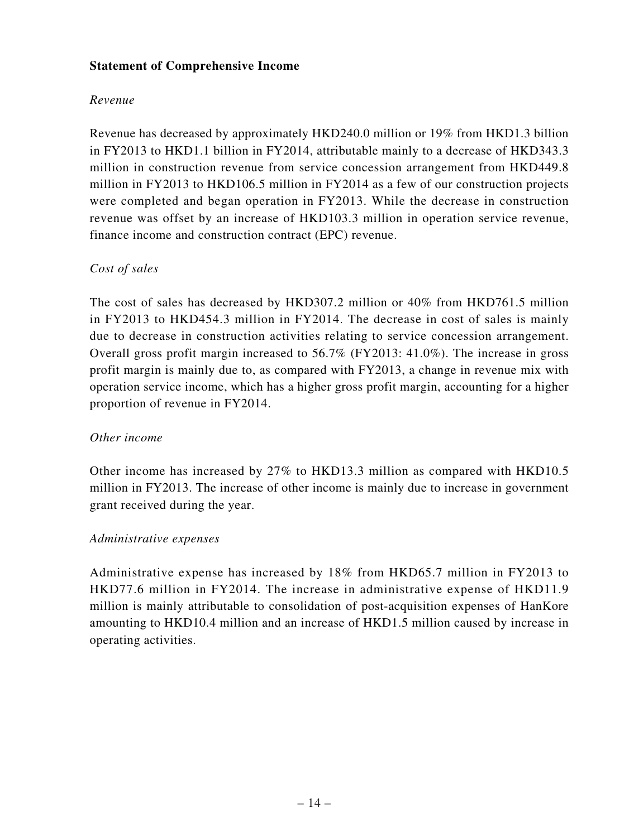## **Statement of Comprehensive Income**

## *Revenue*

Revenue has decreased by approximately HKD240.0 million or 19% from HKD1.3 billion in FY2013 to HKD1.1 billion in FY2014, attributable mainly to a decrease of HKD343.3 million in construction revenue from service concession arrangement from HKD449.8 million in FY2013 to HKD106.5 million in FY2014 as a few of our construction projects were completed and began operation in FY2013. While the decrease in construction revenue was offset by an increase of HKD103.3 million in operation service revenue, finance income and construction contract (EPC) revenue.

# *Cost of sales*

The cost of sales has decreased by HKD307.2 million or 40% from HKD761.5 million in FY2013 to HKD454.3 million in FY2014. The decrease in cost of sales is mainly due to decrease in construction activities relating to service concession arrangement. Overall gross profit margin increased to 56.7% (FY2013: 41.0%). The increase in gross profit margin is mainly due to, as compared with FY2013, a change in revenue mix with operation service income, which has a higher gross profit margin, accounting for a higher proportion of revenue in FY2014.

## *Other income*

Other income has increased by 27% to HKD13.3 million as compared with HKD10.5 million in FY2013. The increase of other income is mainly due to increase in government grant received during the year.

## *Administrative expenses*

Administrative expense has increased by 18% from HKD65.7 million in FY2013 to HKD77.6 million in FY2014. The increase in administrative expense of HKD11.9 million is mainly attributable to consolidation of post-acquisition expenses of HanKore amounting to HKD10.4 million and an increase of HKD1.5 million caused by increase in operating activities.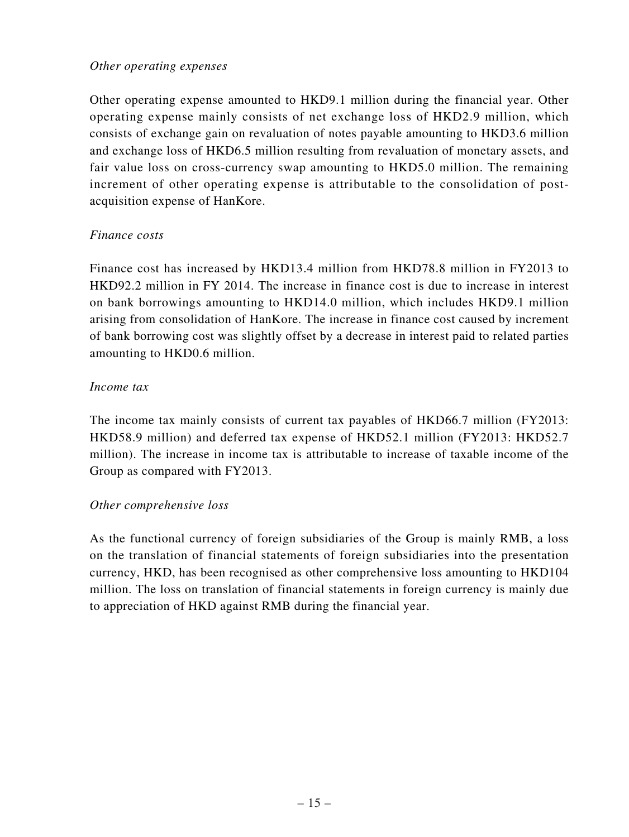### *Other operating expenses*

Other operating expense amounted to HKD9.1 million during the financial year. Other operating expense mainly consists of net exchange loss of HKD2.9 million, which consists of exchange gain on revaluation of notes payable amounting to HKD3.6 million and exchange loss of HKD6.5 million resulting from revaluation of monetary assets, and fair value loss on cross-currency swap amounting to HKD5.0 million. The remaining increment of other operating expense is attributable to the consolidation of postacquisition expense of HanKore.

#### *Finance costs*

Finance cost has increased by HKD13.4 million from HKD78.8 million in FY2013 to HKD92.2 million in FY 2014. The increase in finance cost is due to increase in interest on bank borrowings amounting to HKD14.0 million, which includes HKD9.1 million arising from consolidation of HanKore. The increase in finance cost caused by increment of bank borrowing cost was slightly offset by a decrease in interest paid to related parties amounting to HKD0.6 million.

#### *Income tax*

The income tax mainly consists of current tax payables of HKD66.7 million (FY2013: HKD58.9 million) and deferred tax expense of HKD52.1 million (FY2013: HKD52.7 million). The increase in income tax is attributable to increase of taxable income of the Group as compared with FY2013.

## *Other comprehensive loss*

As the functional currency of foreign subsidiaries of the Group is mainly RMB, a loss on the translation of financial statements of foreign subsidiaries into the presentation currency, HKD, has been recognised as other comprehensive loss amounting to HKD104 million. The loss on translation of financial statements in foreign currency is mainly due to appreciation of HKD against RMB during the financial year.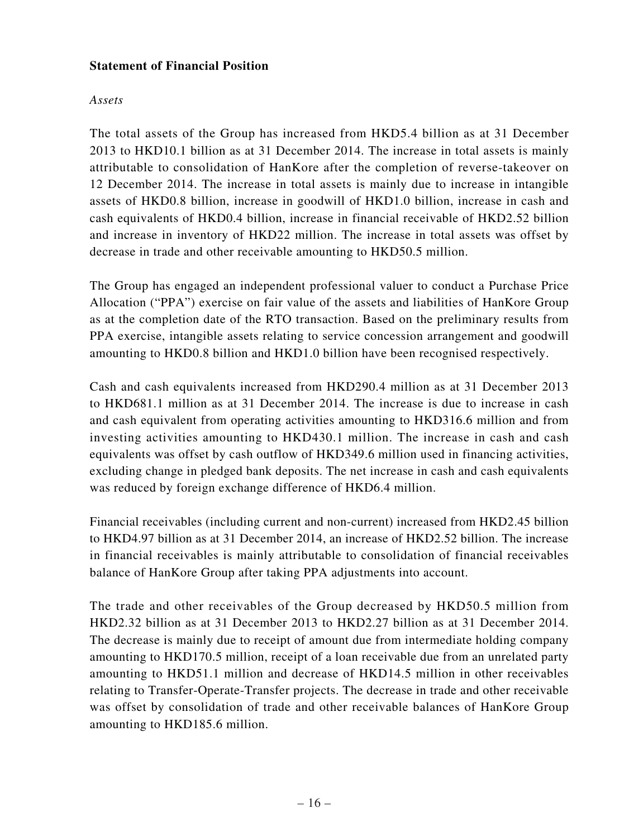## **Statement of Financial Position**

### *Assets*

The total assets of the Group has increased from HKD5.4 billion as at 31 December 2013 to HKD10.1 billion as at 31 December 2014. The increase in total assets is mainly attributable to consolidation of HanKore after the completion of reverse-takeover on 12 December 2014. The increase in total assets is mainly due to increase in intangible assets of HKD0.8 billion, increase in goodwill of HKD1.0 billion, increase in cash and cash equivalents of HKD0.4 billion, increase in financial receivable of HKD2.52 billion and increase in inventory of HKD22 million. The increase in total assets was offset by decrease in trade and other receivable amounting to HKD50.5 million.

The Group has engaged an independent professional valuer to conduct a Purchase Price Allocation ("PPA") exercise on fair value of the assets and liabilities of HanKore Group as at the completion date of the RTO transaction. Based on the preliminary results from PPA exercise, intangible assets relating to service concession arrangement and goodwill amounting to HKD0.8 billion and HKD1.0 billion have been recognised respectively.

Cash and cash equivalents increased from HKD290.4 million as at 31 December 2013 to HKD681.1 million as at 31 December 2014. The increase is due to increase in cash and cash equivalent from operating activities amounting to HKD316.6 million and from investing activities amounting to HKD430.1 million. The increase in cash and cash equivalents was offset by cash outflow of HKD349.6 million used in financing activities, excluding change in pledged bank deposits. The net increase in cash and cash equivalents was reduced by foreign exchange difference of HKD6.4 million.

Financial receivables (including current and non-current) increased from HKD2.45 billion to HKD4.97 billion as at 31 December 2014, an increase of HKD2.52 billion. The increase in financial receivables is mainly attributable to consolidation of financial receivables balance of HanKore Group after taking PPA adjustments into account.

The trade and other receivables of the Group decreased by HKD50.5 million from HKD2.32 billion as at 31 December 2013 to HKD2.27 billion as at 31 December 2014. The decrease is mainly due to receipt of amount due from intermediate holding company amounting to HKD170.5 million, receipt of a loan receivable due from an unrelated party amounting to HKD51.1 million and decrease of HKD14.5 million in other receivables relating to Transfer-Operate-Transfer projects. The decrease in trade and other receivable was offset by consolidation of trade and other receivable balances of HanKore Group amounting to HKD185.6 million.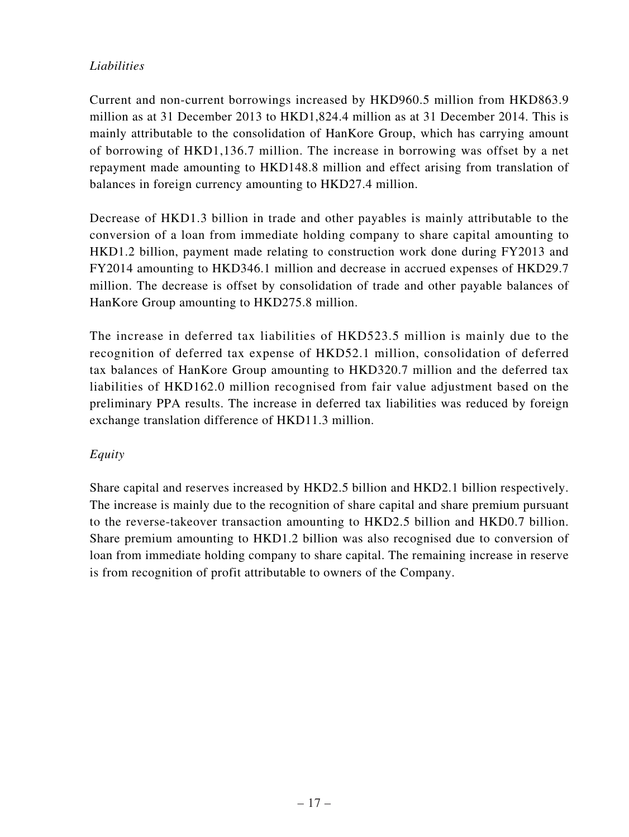# *Liabilities*

Current and non-current borrowings increased by HKD960.5 million from HKD863.9 million as at 31 December 2013 to HKD1,824.4 million as at 31 December 2014. This is mainly attributable to the consolidation of HanKore Group, which has carrying amount of borrowing of HKD1,136.7 million. The increase in borrowing was offset by a net repayment made amounting to HKD148.8 million and effect arising from translation of balances in foreign currency amounting to HKD27.4 million.

Decrease of HKD1.3 billion in trade and other payables is mainly attributable to the conversion of a loan from immediate holding company to share capital amounting to HKD1.2 billion, payment made relating to construction work done during FY2013 and FY2014 amounting to HKD346.1 million and decrease in accrued expenses of HKD29.7 million. The decrease is offset by consolidation of trade and other payable balances of HanKore Group amounting to HKD275.8 million.

The increase in deferred tax liabilities of HKD523.5 million is mainly due to the recognition of deferred tax expense of HKD52.1 million, consolidation of deferred tax balances of HanKore Group amounting to HKD320.7 million and the deferred tax liabilities of HKD162.0 million recognised from fair value adjustment based on the preliminary PPA results. The increase in deferred tax liabilities was reduced by foreign exchange translation difference of HKD11.3 million.

# *Equity*

Share capital and reserves increased by HKD2.5 billion and HKD2.1 billion respectively. The increase is mainly due to the recognition of share capital and share premium pursuant to the reverse-takeover transaction amounting to HKD2.5 billion and HKD0.7 billion. Share premium amounting to HKD1.2 billion was also recognised due to conversion of loan from immediate holding company to share capital. The remaining increase in reserve is from recognition of profit attributable to owners of the Company.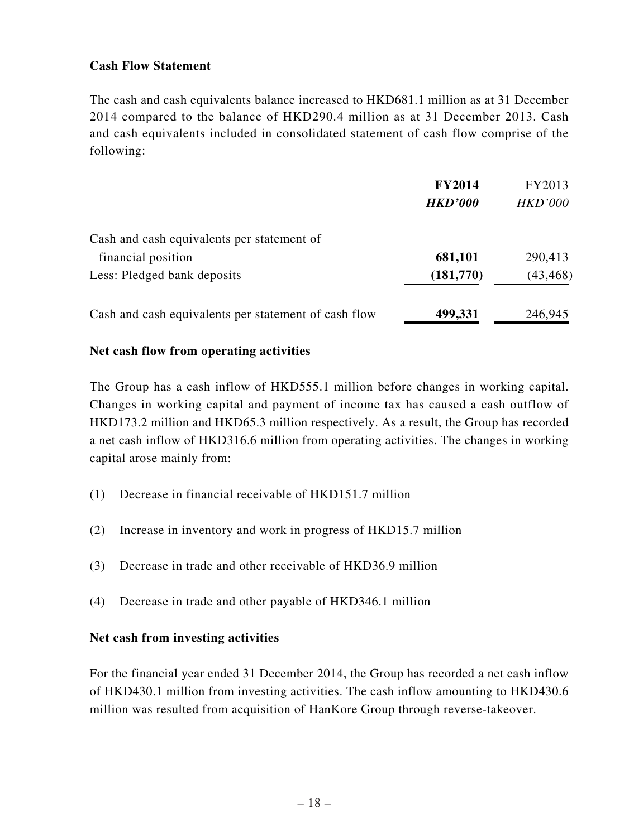## **Cash Flow Statement**

The cash and cash equivalents balance increased to HKD681.1 million as at 31 December 2014 compared to the balance of HKD290.4 million as at 31 December 2013. Cash and cash equivalents included in consolidated statement of cash flow comprise of the following:

|                                                      | <b>FY2014</b>  | FY2013         |
|------------------------------------------------------|----------------|----------------|
|                                                      | <b>HKD'000</b> | <b>HKD'000</b> |
| Cash and cash equivalents per statement of           |                |                |
| financial position                                   | 681,101        | 290,413        |
| Less: Pledged bank deposits                          | (181,770)      | (43, 468)      |
| Cash and cash equivalents per statement of cash flow | 499,331        | 246,945        |

#### **Net cash flow from operating activities**

The Group has a cash inflow of HKD555.1 million before changes in working capital. Changes in working capital and payment of income tax has caused a cash outflow of HKD173.2 million and HKD65.3 million respectively. As a result, the Group has recorded a net cash inflow of HKD316.6 million from operating activities. The changes in working capital arose mainly from:

- (1) Decrease in financial receivable of HKD151.7 million
- (2) Increase in inventory and work in progress of HKD15.7 million
- (3) Decrease in trade and other receivable of HKD36.9 million
- (4) Decrease in trade and other payable of HKD346.1 million

## **Net cash from investing activities**

For the financial year ended 31 December 2014, the Group has recorded a net cash inflow of HKD430.1 million from investing activities. The cash inflow amounting to HKD430.6 million was resulted from acquisition of HanKore Group through reverse-takeover.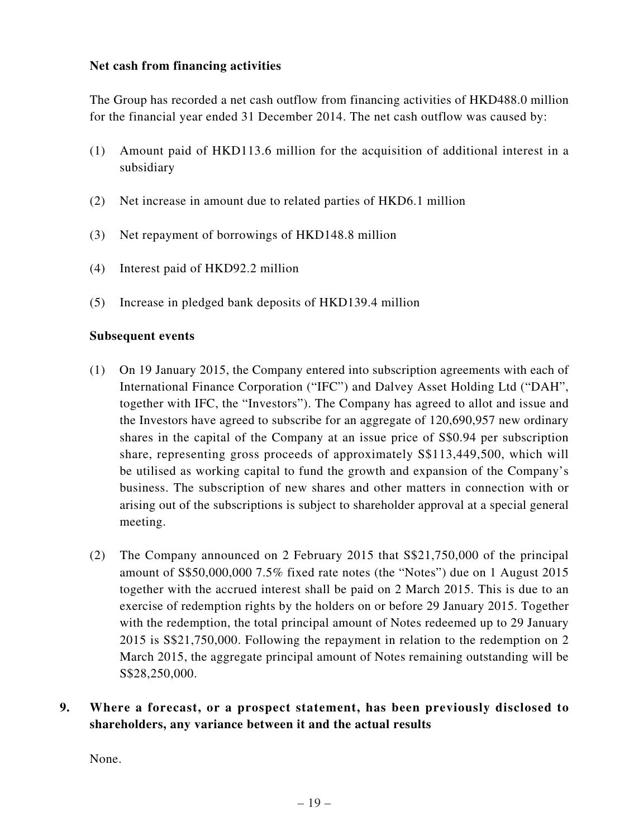### **Net cash from financing activities**

The Group has recorded a net cash outflow from financing activities of HKD488.0 million for the financial year ended 31 December 2014. The net cash outflow was caused by:

- (1) Amount paid of HKD113.6 million for the acquisition of additional interest in a subsidiary
- (2) Net increase in amount due to related parties of HKD6.1 million
- (3) Net repayment of borrowings of HKD148.8 million
- (4) Interest paid of HKD92.2 million
- (5) Increase in pledged bank deposits of HKD139.4 million

#### **Subsequent events**

- (1) On 19 January 2015, the Company entered into subscription agreements with each of International Finance Corporation ("IFC") and Dalvey Asset Holding Ltd ("DAH", together with IFC, the "Investors"). The Company has agreed to allot and issue and the Investors have agreed to subscribe for an aggregate of 120,690,957 new ordinary shares in the capital of the Company at an issue price of S\$0.94 per subscription share, representing gross proceeds of approximately S\$113,449,500, which will be utilised as working capital to fund the growth and expansion of the Company's business. The subscription of new shares and other matters in connection with or arising out of the subscriptions is subject to shareholder approval at a special general meeting.
- (2) The Company announced on 2 February 2015 that S\$21,750,000 of the principal amount of S\$50,000,000 7.5% fixed rate notes (the "Notes") due on 1 August 2015 together with the accrued interest shall be paid on 2 March 2015. This is due to an exercise of redemption rights by the holders on or before 29 January 2015. Together with the redemption, the total principal amount of Notes redeemed up to 29 January 2015 is S\$21,750,000. Following the repayment in relation to the redemption on 2 March 2015, the aggregate principal amount of Notes remaining outstanding will be S\$28,250,000.
- **9. Where a forecast, or a prospect statement, has been previously disclosed to shareholders, any variance between it and the actual results**

None.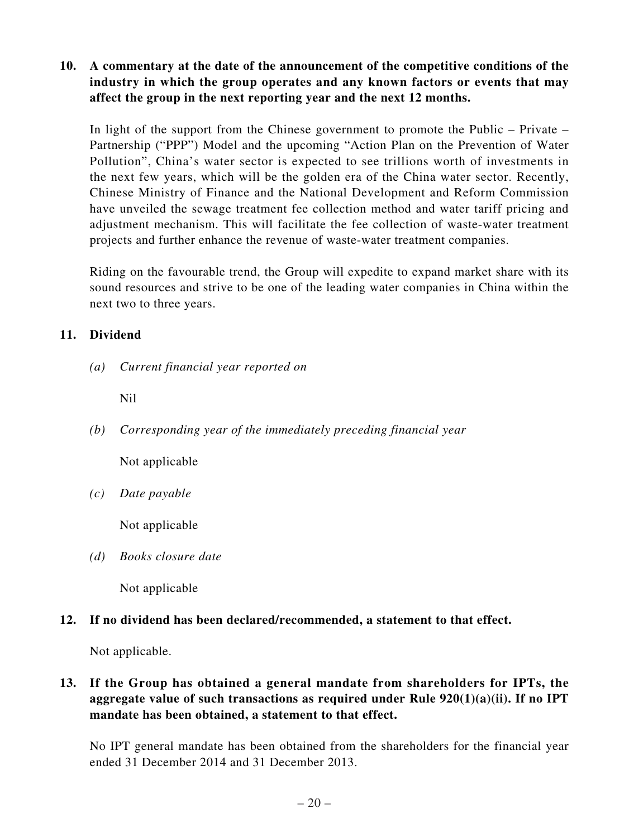## **10. A commentary at the date of the announcement of the competitive conditions of the industry in which the group operates and any known factors or events that may affect the group in the next reporting year and the next 12 months.**

In light of the support from the Chinese government to promote the Public – Private – Partnership ("PPP") Model and the upcoming "Action Plan on the Prevention of Water Pollution", China's water sector is expected to see trillions worth of investments in the next few years, which will be the golden era of the China water sector. Recently, Chinese Ministry of Finance and the National Development and Reform Commission have unveiled the sewage treatment fee collection method and water tariff pricing and adjustment mechanism. This will facilitate the fee collection of waste-water treatment projects and further enhance the revenue of waste-water treatment companies.

Riding on the favourable trend, the Group will expedite to expand market share with its sound resources and strive to be one of the leading water companies in China within the next two to three years.

## **11. Dividend**

*(a) Current financial year reported on*

Nil

*(b) Corresponding year of the immediately preceding financial year*

Not applicable

*(c) Date payable*

Not applicable

*(d) Books closure date*

Not applicable

# **12. If no dividend has been declared/recommended, a statement to that effect.**

Not applicable.

# **13. If the Group has obtained a general mandate from shareholders for IPTs, the aggregate value of such transactions as required under Rule 920(1)(a)(ii). If no IPT mandate has been obtained, a statement to that effect.**

No IPT general mandate has been obtained from the shareholders for the financial year ended 31 December 2014 and 31 December 2013.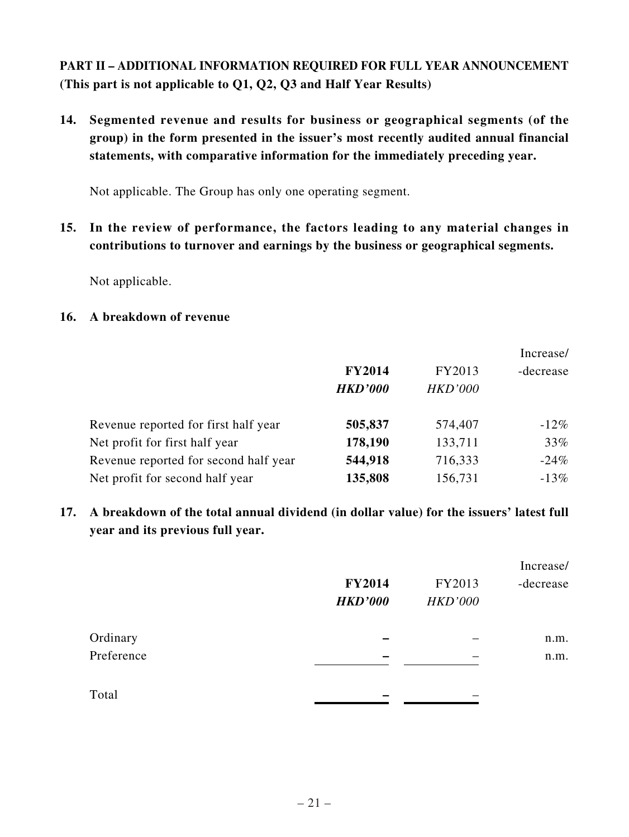**PART II – ADDITIONAL INFORMATION REQUIRED FOR FULL YEAR ANNOUNCEMENT (This part is not applicable to Q1, Q2, Q3 and Half Year Results)**

**14. Segmented revenue and results for business or geographical segments (of the group) in the form presented in the issuer's most recently audited annual financial statements, with comparative information for the immediately preceding year.**

Not applicable. The Group has only one operating segment.

**15. In the review of performance, the factors leading to any material changes in contributions to turnover and earnings by the business or geographical segments.**

Not applicable.

# **16. A breakdown of revenue**

|                                       |                |                | Increase/ |
|---------------------------------------|----------------|----------------|-----------|
|                                       | <b>FY2014</b>  | FY2013         | -decrease |
|                                       | <b>HKD'000</b> | <b>HKD'000</b> |           |
| Revenue reported for first half year  | 505,837        | 574,407        | $-12\%$   |
| Net profit for first half year        | 178,190        | 133,711        | 33%       |
| Revenue reported for second half year | 544,918        | 716,333        | $-24%$    |
| Net profit for second half year       | 135,808        | 156,731        | $-13\%$   |

**17. A breakdown of the total annual dividend (in dollar value) for the issuers' latest full year and its previous full year.**

|            | <b>FY2014</b>  | FY2013         | Increase/<br>-decrease |
|------------|----------------|----------------|------------------------|
|            | <b>HKD'000</b> | <b>HKD'000</b> |                        |
| Ordinary   |                |                | n.m.                   |
| Preference |                |                | n.m.                   |
| Total      |                |                |                        |